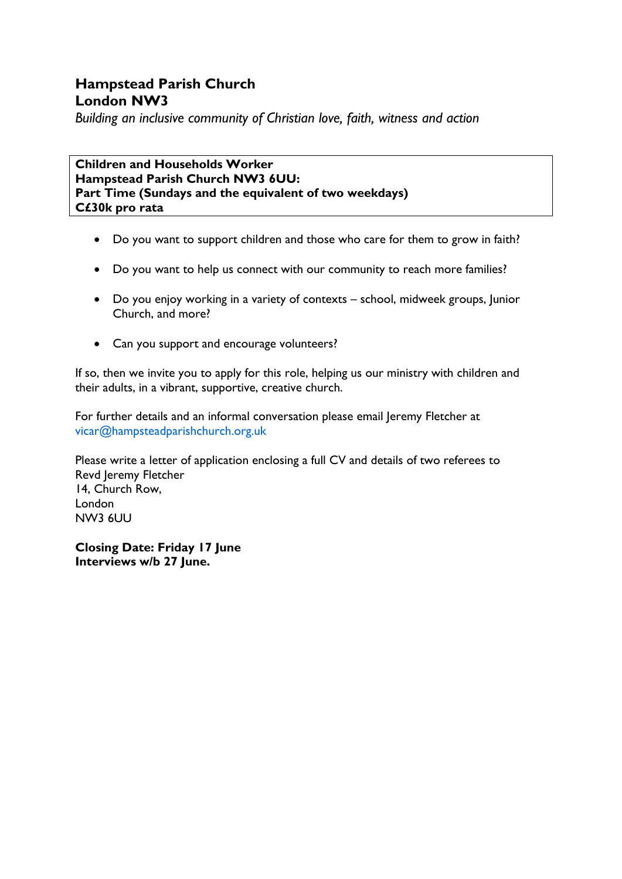# **Hampstead Parish Church London NW3**

*Building an inclusive community of Christian love, faith, witness and action*

**Children and Households Worker Hampstead Parish Church NW3 6UU: Part Time (Sundays and the equivalent of two weekdays) C£30k pro rata**

- Do you want to support children and those who care for them to grow in faith?
- Do you want to help us connect with our community to reach more families?
- Do you enjoy working in a variety of contexts school, midweek groups, Junior Church, and more?
- Can you support and encourage volunteers?

If so, then we invite you to apply for this role, helping us our ministry with children and their adults, in a vibrant, supportive, creative church.

For further details and an informal conversation please email Jeremy Fletcher at vicar@hampsteadparishchurch.org.uk

Please write a letter of application enclosing a full CV and details of two referees to Revd Jeremy Fletcher 14, Church Row, London NW3 6UU

**Closing Date: Friday 17 June Interviews w/b 27 June.**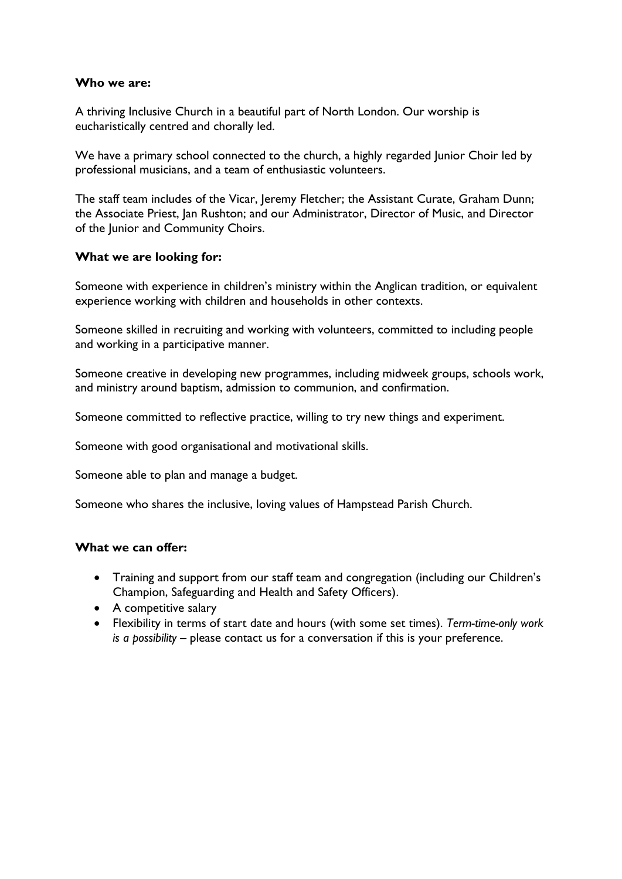#### **Who we are:**

A thriving Inclusive Church in a beautiful part of North London. Our worship is eucharistically centred and chorally led.

We have a primary school connected to the church, a highly regarded Junior Choir led by professional musicians, and a team of enthusiastic volunteers.

The staff team includes of the Vicar, Jeremy Fletcher; the Assistant Curate, Graham Dunn; the Associate Priest, Jan Rushton; and our Administrator, Director of Music, and Director of the Junior and Community Choirs.

#### **What we are looking for:**

Someone with experience in children's ministry within the Anglican tradition, or equivalent experience working with children and households in other contexts.

Someone skilled in recruiting and working with volunteers, committed to including people and working in a participative manner.

Someone creative in developing new programmes, including midweek groups, schools work, and ministry around baptism, admission to communion, and confirmation.

Someone committed to reflective practice, willing to try new things and experiment.

Someone with good organisational and motivational skills.

Someone able to plan and manage a budget.

Someone who shares the inclusive, loving values of Hampstead Parish Church.

## **What we can offer:**

- Training and support from our staff team and congregation (including our Children's Champion, Safeguarding and Health and Safety Officers).
- A competitive salary
- Flexibility in terms of start date and hours (with some set times). *Term-time-only work is a possibility* – please contact us for a conversation if this is your preference.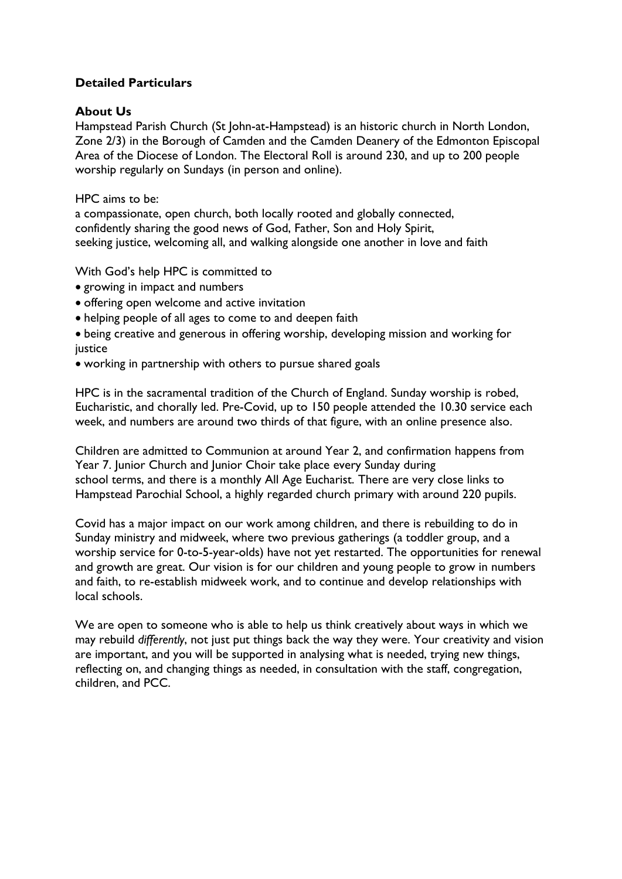## **Detailed Particulars**

#### **About Us**

Hampstead Parish Church (St John-at-Hampstead) is an historic church in North London, Zone 2/3) in the Borough of Camden and the Camden Deanery of the Edmonton Episcopal Area of the Diocese of London. The Electoral Roll is around 230, and up to 200 people worship regularly on Sundays (in person and online).

HPC aims to be:

a compassionate, open church, both locally rooted and globally connected, confidently sharing the good news of God, Father, Son and Holy Spirit, seeking justice, welcoming all, and walking alongside one another in love and faith

With God's help HPC is committed to

- growing in impact and numbers
- offering open welcome and active invitation
- helping people of all ages to come to and deepen faith
- being creative and generous in offering worship, developing mission and working for justice
- working in partnership with others to pursue shared goals

HPC is in the sacramental tradition of the Church of England. Sunday worship is robed, Eucharistic, and chorally led. Pre-Covid, up to 150 people attended the 10.30 service each week, and numbers are around two thirds of that figure, with an online presence also.

Children are admitted to Communion at around Year 2, and confirmation happens from Year 7. Junior Church and Junior Choir take place every Sunday during school terms, and there is a monthly All Age Eucharist. There are very close links to Hampstead Parochial School, a highly regarded church primary with around 220 pupils.

Covid has a major impact on our work among children, and there is rebuilding to do in Sunday ministry and midweek, where two previous gatherings (a toddler group, and a worship service for 0-to-5-year-olds) have not yet restarted. The opportunities for renewal and growth are great. Our vision is for our children and young people to grow in numbers and faith, to re-establish midweek work, and to continue and develop relationships with local schools.

We are open to someone who is able to help us think creatively about ways in which we may rebuild *differently*, not just put things back the way they were. Your creativity and vision are important, and you will be supported in analysing what is needed, trying new things, reflecting on, and changing things as needed, in consultation with the staff, congregation, children, and PCC.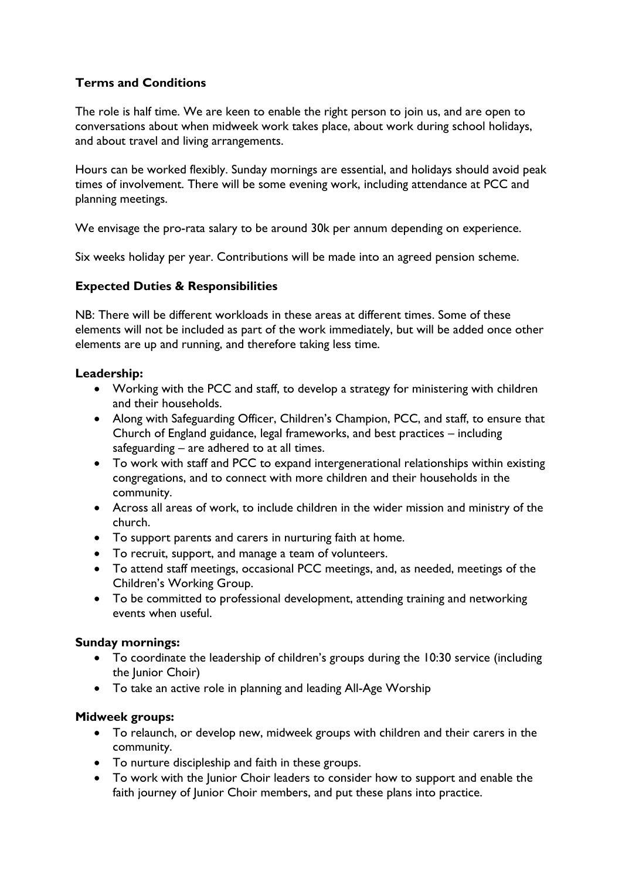# **Terms and Conditions**

The role is half time. We are keen to enable the right person to join us, and are open to conversations about when midweek work takes place, about work during school holidays, and about travel and living arrangements.

Hours can be worked flexibly. Sunday mornings are essential, and holidays should avoid peak times of involvement. There will be some evening work, including attendance at PCC and planning meetings.

We envisage the pro-rata salary to be around 30k per annum depending on experience.

Six weeks holiday per year. Contributions will be made into an agreed pension scheme.

## **Expected Duties & Responsibilities**

NB: There will be different workloads in these areas at different times. Some of these elements will not be included as part of the work immediately, but will be added once other elements are up and running, and therefore taking less time.

## **Leadership:**

- Working with the PCC and staff, to develop a strategy for ministering with children and their households.
- Along with Safeguarding Officer, Children's Champion, PCC, and staff, to ensure that Church of England guidance, legal frameworks, and best practices – including safeguarding – are adhered to at all times.
- To work with staff and PCC to expand intergenerational relationships within existing congregations, and to connect with more children and their households in the community.
- Across all areas of work, to include children in the wider mission and ministry of the church.
- To support parents and carers in nurturing faith at home.
- To recruit, support, and manage a team of volunteers.
- To attend staff meetings, occasional PCC meetings, and, as needed, meetings of the Children's Working Group.
- To be committed to professional development, attending training and networking events when useful.

## **Sunday mornings:**

- To coordinate the leadership of children's groups during the 10:30 service (including the Junior Choir)
- To take an active role in planning and leading All-Age Worship

## **Midweek groups:**

- To relaunch, or develop new, midweek groups with children and their carers in the community.
- To nurture discipleship and faith in these groups.
- To work with the Junior Choir leaders to consider how to support and enable the faith journey of Junior Choir members, and put these plans into practice.